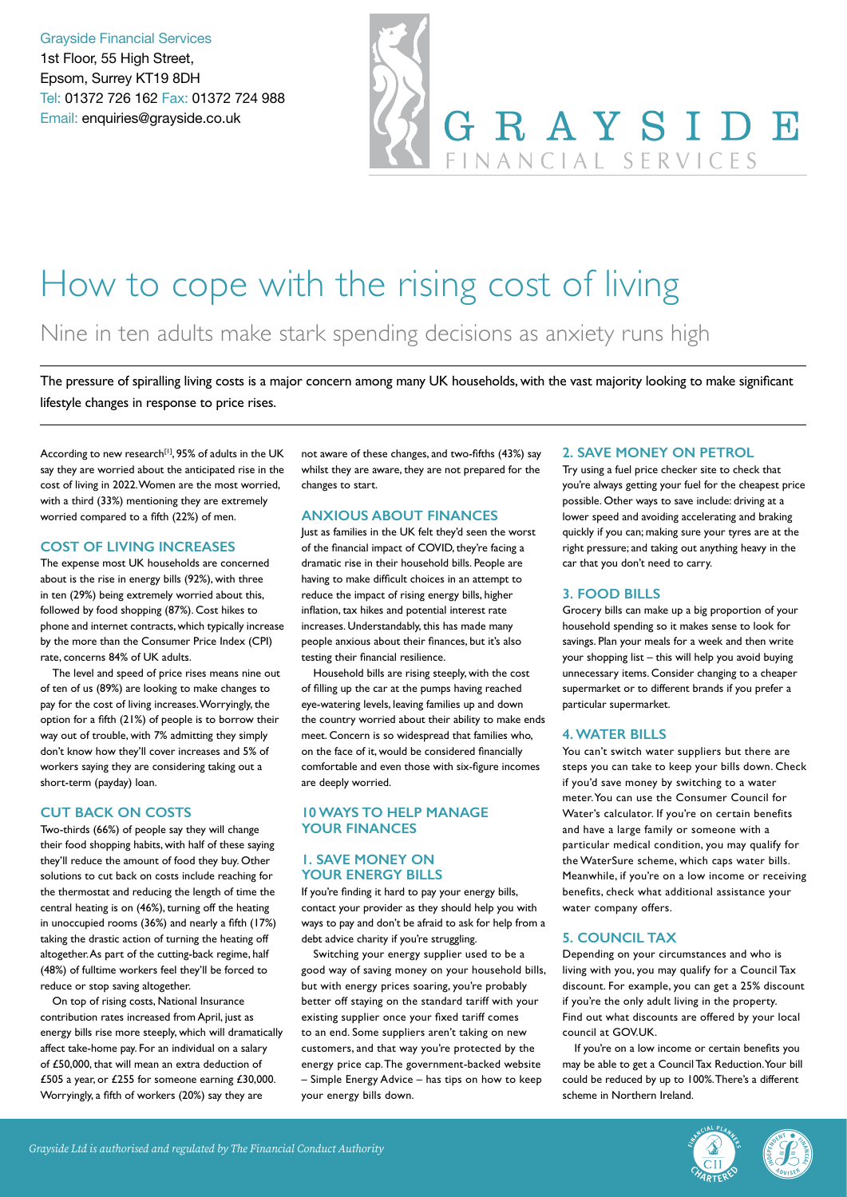Grayside Financial Services 1st Floor, 55 High Street, Epsom, Surrey KT19 8DH Tel: 01372 726 162 Fax: 01372 724 988 Email: enquiries@grayside.co.uk



## How to cope with the rising cost of living

Nine in ten adults make stark spending decisions as anxiety runs high

The pressure of spiralling living costs is a major concern among many UK households, with the vast majority looking to make significant lifestyle changes in response to price rises.

According to new research<sup>[1]</sup>, 95% of adults in the UK say they are worried about the anticipated rise in the cost of living in 2022. Women are the most worried, with a third (33%) mentioning they are extremely worried compared to a fifth (22%) of men.

#### **COST OF LIVING INCREASES**

The expense most UK households are concerned about is the rise in energy bills (92%), with three in ten (29%) being extremely worried about this, followed by food shopping (87%). Cost hikes to phone and internet contracts, which typically increase by the more than the Consumer Price Index (CPI) rate, concerns 84% of UK adults.

The level and speed of price rises means nine out of ten of us (89%) are looking to make changes to pay for the cost of living increases. Worryingly, the option for a fifth (21%) of people is to borrow their way out of trouble, with 7% admitting they simply don't know how they'll cover increases and 5% of workers saying they are considering taking out a short-term (payday) loan.

#### **CUT BACK ON COSTS**

Two-thirds (66%) of people say they will change their food shopping habits, with half of these saying they'll reduce the amount of food they buy. Other solutions to cut back on costs include reaching for the thermostat and reducing the length of time the central heating is on (46%), turning off the heating in unoccupied rooms (36%) and nearly a fifth (17%) taking the drastic action of turning the heating off altogether. As part of the cutting-back regime, half (48%) of fulltime workers feel they'll be forced to reduce or stop saving altogether.

On top of rising costs, National Insurance contribution rates increased from April, just as energy bills rise more steeply, which will dramatically affect take-home pay. For an individual on a salary of £50,000, that will mean an extra deduction of £505 a year, or £255 for someone earning £30,000. Worryingly, a fifth of workers (20%) say they are

not aware of these changes, and two-fifths (43%) say whilst they are aware, they are not prepared for the changes to start.

#### **ANXIOUS ABOUT FINANCES**

Just as families in the UK felt they'd seen the worst of the financial impact of COVID, they're facing a dramatic rise in their household bills. People are having to make difficult choices in an attempt to reduce the impact of rising energy bills, higher inflation, tax hikes and potential interest rate increases. Understandably, this has made many people anxious about their finances, but it's also testing their financial resilience.

Household bills are rising steeply, with the cost of filling up the car at the pumps having reached eye-watering levels, leaving families up and down the country worried about their ability to make ends meet. Concern is so widespread that families who, on the face of it, would be considered financially comfortable and even those with six-figure incomes are deeply worried.

#### **10 WAYS TO HELP MANAGE YOUR FINANCES**

#### **1. SAVE MONEY ON YOUR ENERGY BILLS**

If you're finding it hard to pay your energy bills, contact your provider as they should help you with ways to pay and don't be afraid to ask for help from a debt advice charity if you're struggling.

Switching your energy supplier used to be a good way of saving money on your household bills, but with energy prices soaring, you're probably better off staying on the standard tariff with your existing supplier once your fixed tariff comes to an end. Some suppliers aren't taking on new customers, and that way you're protected by the energy price cap. The government-backed website – Simple Energy Advice – has tips on how to keep your energy bills down.

#### **2. SAVE MONEY ON PETROL**

Try using a fuel price checker site to check that you're always getting your fuel for the cheapest price possible. Other ways to save include: driving at a lower speed and avoiding accelerating and braking quickly if you can; making sure your tyres are at the right pressure; and taking out anything heavy in the car that you don't need to carry.

#### **3. FOOD BILLS**

Grocery bills can make up a big proportion of your household spending so it makes sense to look for savings. Plan your meals for a week and then write your shopping list – this will help you avoid buying unnecessary items. Consider changing to a cheaper supermarket or to different brands if you prefer a particular supermarket.

#### **4. WATER BILLS**

You can't switch water suppliers but there are steps you can take to keep your bills down. Check if you'd save money by switching to a water meter. You can use the Consumer Council for Water's calculator. If you're on certain benefits and have a large family or someone with a particular medical condition, you may qualify for the WaterSure scheme, which caps water bills. Meanwhile, if you're on a low income or receiving benefits, check what additional assistance your water company offers.

#### **5. COUNCIL TAX**

Depending on your circumstances and who is living with you, you may qualify for a Council Tax discount. For example, you can get a 25% discount if you're the only adult living in the property. Find out what discounts are offered by your local council at GOV.UK.

If you're on a low income or certain benefits you may be able to get a Council Tax Reduction. Your bill could be reduced by up to 100%. There's a different scheme in Northern Ireland.